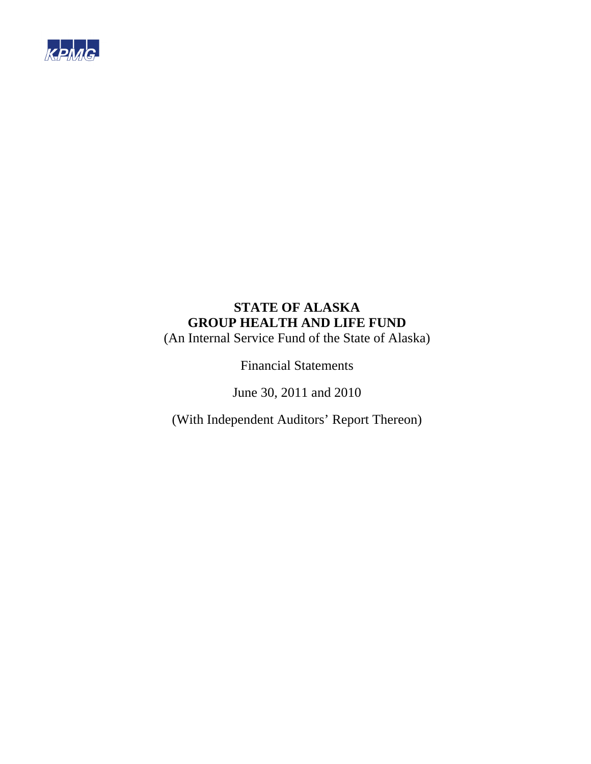

# **STATE OF ALASKA GROUP HEALTH AND LIFE FUND**

(An Internal Service Fund of the State of Alaska)

Financial Statements

June 30, 2011 and 2010

(With Independent Auditors' Report Thereon)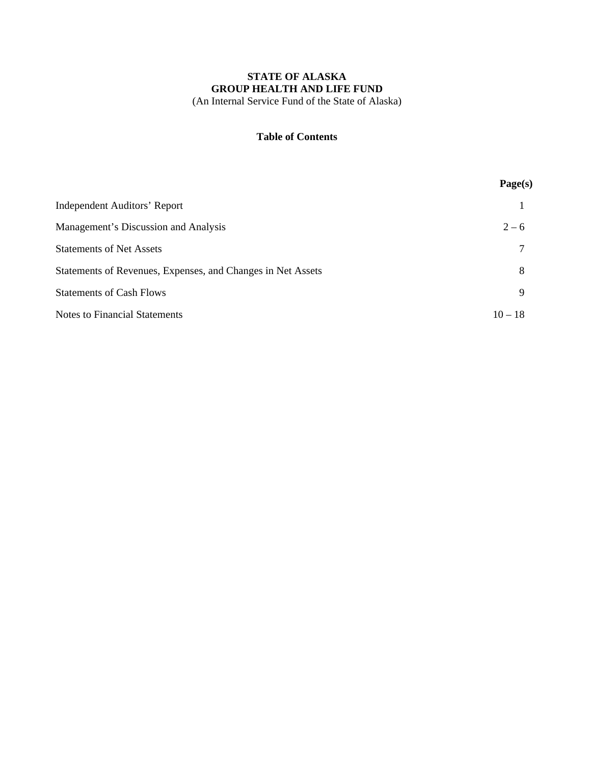#### **Table of Contents**

|                                                             | Page(s)   |
|-------------------------------------------------------------|-----------|
| Independent Auditors' Report                                |           |
| Management's Discussion and Analysis                        | $2 - 6$   |
| <b>Statements of Net Assets</b>                             | 7         |
| Statements of Revenues, Expenses, and Changes in Net Assets | 8         |
| <b>Statements of Cash Flows</b>                             | 9         |
| <b>Notes to Financial Statements</b>                        | $10 - 18$ |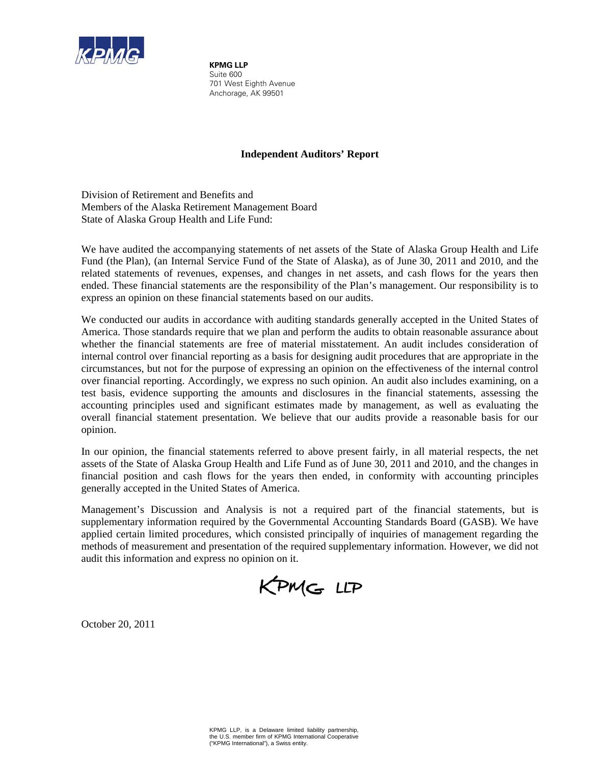

**KPMG LLP** Suite 600 701 West Eighth Avenue Anchorage, AK 99501

## **Independent Auditors' Report**

Division of Retirement and Benefits and Members of the Alaska Retirement Management Board State of Alaska Group Health and Life Fund:

We have audited the accompanying statements of net assets of the State of Alaska Group Health and Life Fund (the Plan), (an Internal Service Fund of the State of Alaska), as of June 30, 2011 and 2010, and the related statements of revenues, expenses, and changes in net assets, and cash flows for the years then ended. These financial statements are the responsibility of the Plan's management. Our responsibility is to express an opinion on these financial statements based on our audits.

We conducted our audits in accordance with auditing standards generally accepted in the United States of America. Those standards require that we plan and perform the audits to obtain reasonable assurance about whether the financial statements are free of material misstatement. An audit includes consideration of internal control over financial reporting as a basis for designing audit procedures that are appropriate in the circumstances, but not for the purpose of expressing an opinion on the effectiveness of the internal control over financial reporting. Accordingly, we express no such opinion. An audit also includes examining, on a test basis, evidence supporting the amounts and disclosures in the financial statements, assessing the accounting principles used and significant estimates made by management, as well as evaluating the overall financial statement presentation. We believe that our audits provide a reasonable basis for our opinion.

In our opinion, the financial statements referred to above present fairly, in all material respects, the net assets of the State of Alaska Group Health and Life Fund as of June 30, 2011 and 2010, and the changes in financial position and cash flows for the years then ended, in conformity with accounting principles generally accepted in the United States of America.

Management's Discussion and Analysis is not a required part of the financial statements, but is supplementary information required by the Governmental Accounting Standards Board (GASB). We have applied certain limited procedures, which consisted principally of inquiries of management regarding the methods of measurement and presentation of the required supplementary information. However, we did not audit this information and express no opinion on it.

KPMG LLP

October 20, 2011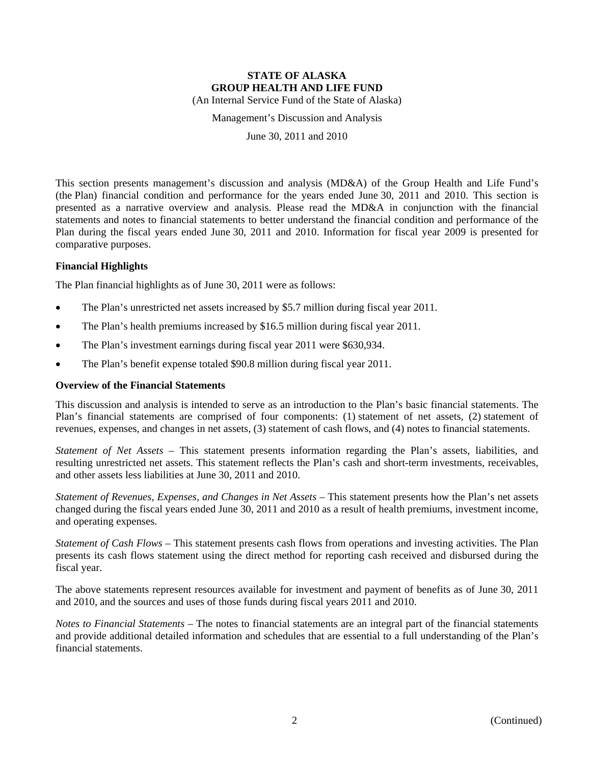Management's Discussion and Analysis

June 30, 2011 and 2010

This section presents management's discussion and analysis (MD&A) of the Group Health and Life Fund's (the Plan) financial condition and performance for the years ended June 30, 2011 and 2010. This section is presented as a narrative overview and analysis. Please read the MD&A in conjunction with the financial statements and notes to financial statements to better understand the financial condition and performance of the Plan during the fiscal years ended June 30, 2011 and 2010. Information for fiscal year 2009 is presented for comparative purposes.

#### **Financial Highlights**

The Plan financial highlights as of June 30, 2011 were as follows:

- The Plan's unrestricted net assets increased by \$5.7 million during fiscal year 2011.
- The Plan's health premiums increased by \$16.5 million during fiscal year 2011.
- The Plan's investment earnings during fiscal year 2011 were \$630,934.
- The Plan's benefit expense totaled \$90.8 million during fiscal year 2011.

#### **Overview of the Financial Statements**

This discussion and analysis is intended to serve as an introduction to the Plan's basic financial statements. The Plan's financial statements are comprised of four components: (1) statement of net assets, (2) statement of revenues, expenses, and changes in net assets, (3) statement of cash flows, and (4) notes to financial statements.

*Statement of Net Assets* – This statement presents information regarding the Plan's assets, liabilities, and resulting unrestricted net assets. This statement reflects the Plan's cash and short-term investments, receivables, and other assets less liabilities at June 30, 2011 and 2010.

*Statement of Revenues, Expenses, and Changes in Net Assets* – This statement presents how the Plan's net assets changed during the fiscal years ended June 30, 2011 and 2010 as a result of health premiums, investment income, and operating expenses.

*Statement of Cash Flows* – This statement presents cash flows from operations and investing activities. The Plan presents its cash flows statement using the direct method for reporting cash received and disbursed during the fiscal year.

The above statements represent resources available for investment and payment of benefits as of June 30, 2011 and 2010, and the sources and uses of those funds during fiscal years 2011 and 2010.

*Notes to Financial Statements* – The notes to financial statements are an integral part of the financial statements and provide additional detailed information and schedules that are essential to a full understanding of the Plan's financial statements.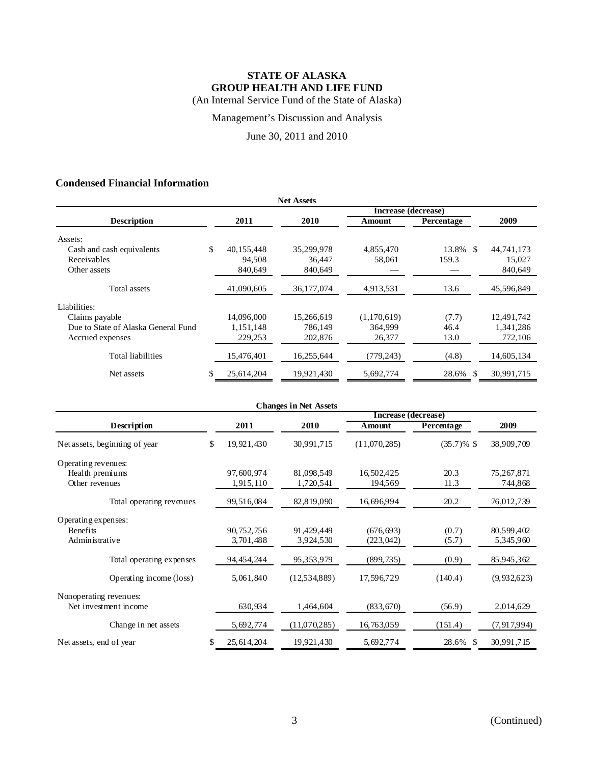Management's Discussion and Analysis

June 30, 2011 and 2010

## **Condensed Financial Information**

| <b>Net Assets</b>                   |    |            |            |                     |                   |            |  |
|-------------------------------------|----|------------|------------|---------------------|-------------------|------------|--|
|                                     |    |            |            | Increase (decrease) |                   |            |  |
| <b>Description</b>                  |    | 2011       | 2010       | Amount              | Percentage        | 2009       |  |
| Assets:                             |    |            |            |                     |                   |            |  |
| Cash and cash equivalents           | \$ | 40,155,448 | 35,299,978 | 4,855,470           | 13.8%<br>\$.      | 44,741,173 |  |
| Receivables                         |    | 94,508     | 36,447     | 58,061              | 159.3             | 15,027     |  |
| Other assets                        |    | 840,649    | 840.649    |                     |                   | 840,649    |  |
| Total assets                        |    | 41,090,605 | 36,177,074 | 4,913,531           | 13.6              | 45,596,849 |  |
| Liabilities:                        |    |            |            |                     |                   |            |  |
| Claims payable                      |    | 14,096,000 | 15,266,619 | (1,170,619)         | (7.7)             | 12,491,742 |  |
| Due to State of Alaska General Fund |    | 1.151.148  | 786.149    | 364,999             | 46.4              | 1,341,286  |  |
| Accrued expenses                    |    | 229,253    | 202,876    | 26,377              | 13.0              | 772,106    |  |
| Total liabilities                   |    | 15,476,401 | 16,255,644 | (779, 243)          | (4.8)             | 14,605,134 |  |
| Net assets                          | S  | 25,614,204 | 19,921,430 | 5,692,774           | 28.6%<br><b>S</b> | 30,991,715 |  |

|                               | <b>Changes in Net Assets</b> |              |              |                     |               |               |  |  |  |  |  |
|-------------------------------|------------------------------|--------------|--------------|---------------------|---------------|---------------|--|--|--|--|--|
|                               |                              |              |              | Increase (decrease) |               |               |  |  |  |  |  |
| <b>Description</b>            |                              | 2011         | 2010         | Amount              | Percentage    | 2009          |  |  |  |  |  |
| Net assets, beginning of year | \$                           | 19,921,430   | 30,991,715   | (11,070,285)        | $(35.7)\%$ \$ | 38,909,709    |  |  |  |  |  |
| Operating revenues:           |                              |              |              |                     |               |               |  |  |  |  |  |
| Health premiums               |                              | 97,600,974   | 81,098,549   | 16,502,425          | 20.3          | 75,267,871    |  |  |  |  |  |
| Other revenues                |                              | 1,915,110    | 1,720,541    | 194,569             | 11.3          | 744,868       |  |  |  |  |  |
| Total operating revenues      |                              | 99,516,084   | 82,819,090   | 16,696,994          | 20.2          | 76,012,739    |  |  |  |  |  |
| Operating expenses:           |                              |              |              |                     |               |               |  |  |  |  |  |
| <b>Benefits</b>               |                              | 90, 752, 756 | 91,429,449   | (676, 693)          | (0.7)         | 80,599,402    |  |  |  |  |  |
| Administrative                |                              | 3,701,488    | 3,924,530    | (223, 042)          | (5.7)         | 5,345,960     |  |  |  |  |  |
| Total operating expenses      |                              | 94, 454, 244 | 95, 353, 979 | (899, 735)          | (0.9)         | 85,945,362    |  |  |  |  |  |
| Operating income (loss)       |                              | 5,061,840    | (12,534,889) | 17,596,729          | (140.4)       | (9,932,623)   |  |  |  |  |  |
| Nonoperating revenues:        |                              |              |              |                     |               |               |  |  |  |  |  |
| Net investment income         |                              | 630,934      | 1,464,604    | (833, 670)          | (56.9)        | 2,014,629     |  |  |  |  |  |
| Change in net assets          |                              | 5,692,774    | (11,070,285) | 16,763,059          | (151.4)       | (7, 917, 994) |  |  |  |  |  |
| Net assets, end of year       | \$                           | 25, 614, 204 | 19,921,430   | 5,692,774           | 28.6%<br>-S   | 30,991,715    |  |  |  |  |  |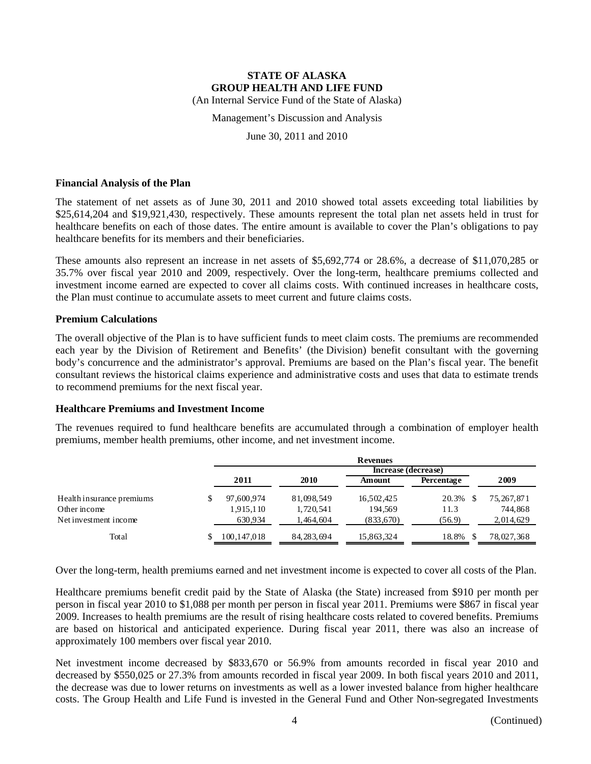Management's Discussion and Analysis

June 30, 2011 and 2010

#### **Financial Analysis of the Plan**

The statement of net assets as of June 30, 2011 and 2010 showed total assets exceeding total liabilities by \$25,614,204 and \$19,921,430, respectively. These amounts represent the total plan net assets held in trust for healthcare benefits on each of those dates. The entire amount is available to cover the Plan's obligations to pay healthcare benefits for its members and their beneficiaries.

These amounts also represent an increase in net assets of \$5,692,774 or 28.6%, a decrease of \$11,070,285 or 35.7% over fiscal year 2010 and 2009, respectively. Over the long-term, healthcare premiums collected and investment income earned are expected to cover all claims costs. With continued increases in healthcare costs, the Plan must continue to accumulate assets to meet current and future claims costs.

#### **Premium Calculations**

The overall objective of the Plan is to have sufficient funds to meet claim costs. The premiums are recommended each year by the Division of Retirement and Benefits' (the Division) benefit consultant with the governing body's concurrence and the administrator's approval. Premiums are based on the Plan's fiscal year. The benefit consultant reviews the historical claims experience and administrative costs and uses that data to estimate trends to recommend premiums for the next fiscal year.

#### **Healthcare Premiums and Investment Income**

The revenues required to fund healthcare benefits are accumulated through a combination of employer health premiums, member health premiums, other income, and net investment income.

|                           | <b>Revenues</b> |                     |              |            |            |              |  |
|---------------------------|-----------------|---------------------|--------------|------------|------------|--------------|--|
|                           |                 | Increase (decrease) |              |            |            |              |  |
|                           |                 | 2011                | 2010         | Amount     | Percentage | 2009         |  |
| Health insurance premiums |                 | 97,600,974          | 81,098,549   | 16,502,425 | 20.3%      | 75, 267, 871 |  |
| Other income              |                 | 1,915,110           | 1,720,541    | 194.569    | 11.3       | 744,868      |  |
| Net investment income     |                 | 630,934             | 1,464,604    | (833,670)  | (56.9)     | 2,014,629    |  |
| Total                     |                 | 100, 147, 018       | 84, 283, 694 | 15,863,324 | 18.8%      | 78,027,368   |  |

Over the long-term, health premiums earned and net investment income is expected to cover all costs of the Plan.

Healthcare premiums benefit credit paid by the State of Alaska (the State) increased from \$910 per month per person in fiscal year 2010 to \$1,088 per month per person in fiscal year 2011. Premiums were \$867 in fiscal year 2009. Increases to health premiums are the result of rising healthcare costs related to covered benefits. Premiums are based on historical and anticipated experience. During fiscal year 2011, there was also an increase of approximately 100 members over fiscal year 2010.

Net investment income decreased by \$833,670 or 56.9% from amounts recorded in fiscal year 2010 and decreased by \$550,025 or 27.3% from amounts recorded in fiscal year 2009. In both fiscal years 2010 and 2011, the decrease was due to lower returns on investments as well as a lower invested balance from higher healthcare costs. The Group Health and Life Fund is invested in the General Fund and Other Non-segregated Investments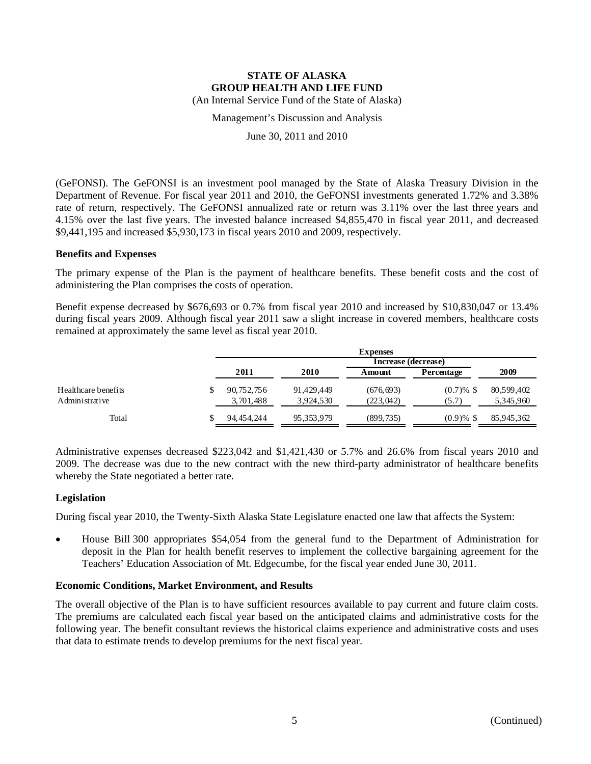Management's Discussion and Analysis

June 30, 2011 and 2010

(GeFONSI). The GeFONSI is an investment pool managed by the State of Alaska Treasury Division in the Department of Revenue. For fiscal year 2011 and 2010, the GeFONSI investments generated 1.72% and 3.38% rate of return, respectively. The GeFONSI annualized rate or return was 3.11% over the last three years and 4.15% over the last five years. The invested balance increased \$4,855,470 in fiscal year 2011, and decreased \$9,441,195 and increased \$5,930,173 in fiscal years 2010 and 2009, respectively.

#### **Benefits and Expenses**

The primary expense of the Plan is the payment of healthcare benefits. These benefit costs and the cost of administering the Plan comprises the costs of operation.

Benefit expense decreased by \$676,693 or 0.7% from fiscal year 2010 and increased by \$10,830,047 or 13.4% during fiscal years 2009. Although fiscal year 2011 saw a slight increase in covered members, healthcare costs remained at approximately the same level as fiscal year 2010.

|                     |              |            | <b>Expenses</b>     |               |            |
|---------------------|--------------|------------|---------------------|---------------|------------|
|                     |              |            | Increase (decrease) |               |            |
|                     | 2011         | 2010       | Amount              | Percentage    | 2009       |
| Healthcare benefits | 90, 752, 756 | 91.429.449 | (676, 693)          | $(0.7)$ % \$  | 80,599,402 |
| Administrative      | 3,701,488    | 3,924,530  | (223, 042)          | (5.7)         | 5,345,960  |
| Total               | 94.454.244   | 95,353,979 | (899,735)           | $(0.9) \%$ \$ | 85,945,362 |

Administrative expenses decreased \$223,042 and \$1,421,430 or 5.7% and 26.6% from fiscal years 2010 and 2009. The decrease was due to the new contract with the new third-party administrator of healthcare benefits whereby the State negotiated a better rate.

#### **Legislation**

During fiscal year 2010, the Twenty-Sixth Alaska State Legislature enacted one law that affects the System:

 House Bill 300 appropriates \$54,054 from the general fund to the Department of Administration for deposit in the Plan for health benefit reserves to implement the collective bargaining agreement for the Teachers' Education Association of Mt. Edgecumbe, for the fiscal year ended June 30, 2011.

#### **Economic Conditions, Market Environment, and Results**

The overall objective of the Plan is to have sufficient resources available to pay current and future claim costs. The premiums are calculated each fiscal year based on the anticipated claims and administrative costs for the following year. The benefit consultant reviews the historical claims experience and administrative costs and uses that data to estimate trends to develop premiums for the next fiscal year.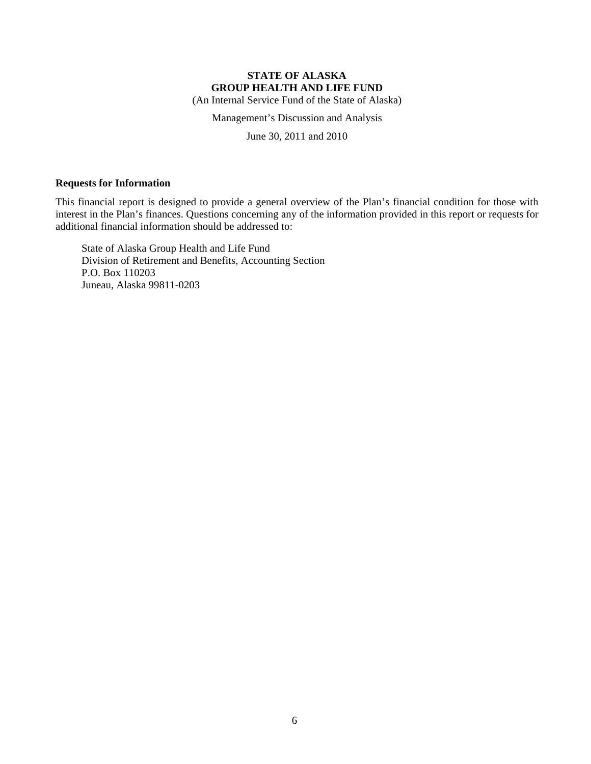## **STATE OF ALASKA GROUP HEALTH AND LIFE FUND**

(An Internal Service Fund of the State of Alaska)

Management's Discussion and Analysis

June 30, 2011 and 2010

#### **Requests for Information**

This financial report is designed to provide a general overview of the Plan's financial condition for those with interest in the Plan's finances. Questions concerning any of the information provided in this report or requests for additional financial information should be addressed to:

State of Alaska Group Health and Life Fund Division of Retirement and Benefits, Accounting Section P.O. Box 110203 Juneau, Alaska 99811-0203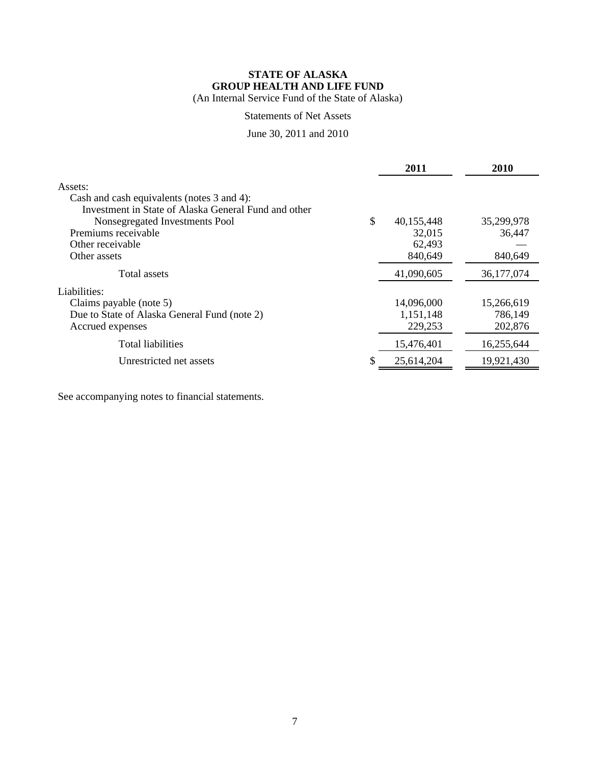## **STATE OF ALASKA GROUP HEALTH AND LIFE FUND**

(An Internal Service Fund of the State of Alaska)

## Statements of Net Assets

## June 30, 2011 and 2010

|                                                                                                                                                                                            | 2011                                 | 2010                             |
|--------------------------------------------------------------------------------------------------------------------------------------------------------------------------------------------|--------------------------------------|----------------------------------|
| Assets:<br>Cash and cash equivalents (notes 3 and 4):<br>Investment in State of Alaska General Fund and other<br>Nonsegregated Investments Pool<br>Premiums receivable<br>Other receivable | \$<br>40,155,448<br>32,015<br>62,493 | 35,299,978<br>36,447             |
| Other assets<br>Total assets                                                                                                                                                               | 840,649<br>41,090,605                | 840,649<br>36,177,074            |
| Liabilities:<br>Claims payable (note 5)<br>Due to State of Alaska General Fund (note 2)<br>Accrued expenses                                                                                | 14,096,000<br>1,151,148<br>229,253   | 15,266,619<br>786,149<br>202,876 |
| <b>Total liabilities</b>                                                                                                                                                                   | 15,476,401                           | 16,255,644                       |
| Unrestricted net assets                                                                                                                                                                    | 25,614,204                           | 19,921,430                       |

See accompanying notes to financial statements.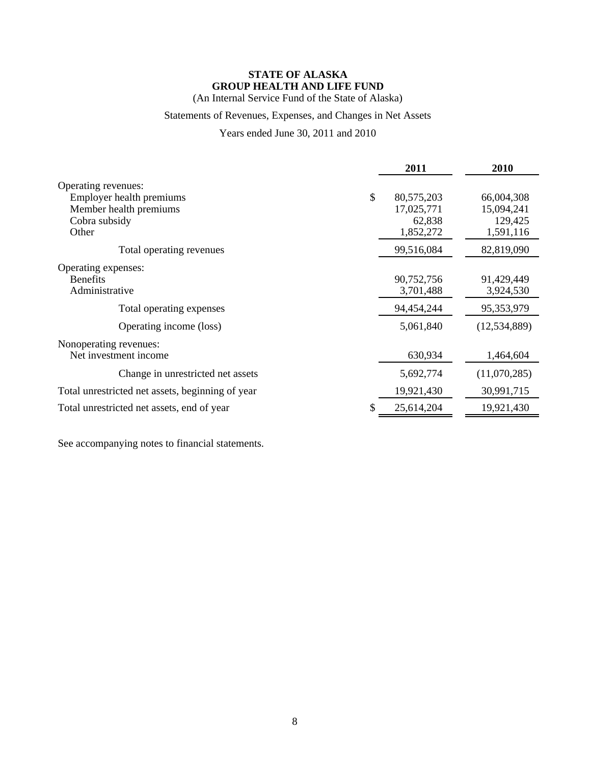## **STATE OF ALASKA GROUP HEALTH AND LIFE FUND**

(An Internal Service Fund of the State of Alaska)

## Statements of Revenues, Expenses, and Changes in Net Assets

Years ended June 30, 2011 and 2010

|                                                                                                                 |    | 2011                                               | 2010                                                    |
|-----------------------------------------------------------------------------------------------------------------|----|----------------------------------------------------|---------------------------------------------------------|
| Operating revenues:<br>Employer health premiums<br>Member health premiums<br>Cobra subsidy<br>Other             | \$ | 80,575,203<br>17,025,771<br>62,838<br>1,852,272    | 66,004,308<br>15,094,241<br>129,425<br>1,591,116        |
| Total operating revenues                                                                                        |    | 99,516,084                                         | 82,819,090                                              |
| Operating expenses:<br><b>Benefits</b><br>Administrative<br>Total operating expenses<br>Operating income (loss) |    | 90,752,756<br>3,701,488<br>94,454,244<br>5,061,840 | 91,429,449<br>3,924,530<br>95,353,979<br>(12, 534, 889) |
| Nonoperating revenues:<br>Net investment income                                                                 |    | 630,934                                            | 1,464,604                                               |
| Change in unrestricted net assets                                                                               |    | 5,692,774                                          | (11,070,285)                                            |
| Total unrestricted net assets, beginning of year                                                                |    | 19,921,430                                         | 30,991,715                                              |
| Total unrestricted net assets, end of year                                                                      | S  | 25,614,204                                         | 19,921,430                                              |

See accompanying notes to financial statements.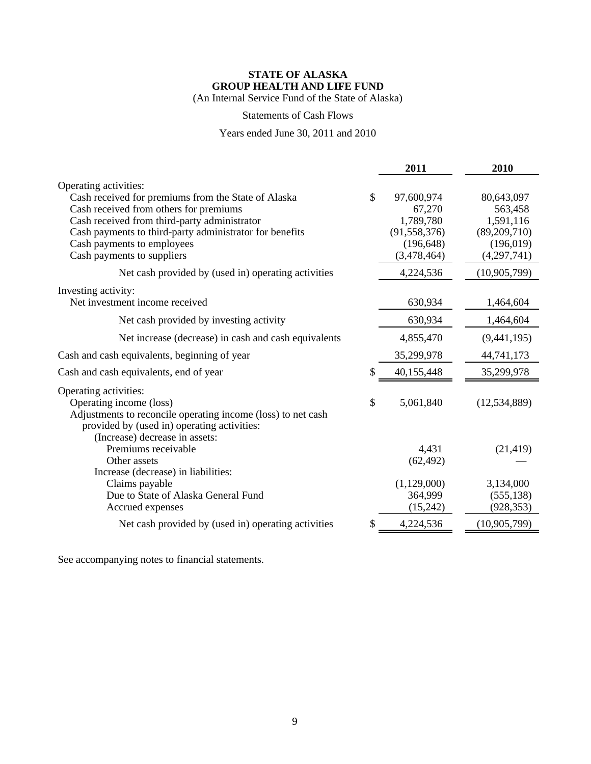## **STATE OF ALASKA GROUP HEALTH AND LIFE FUND**

(An Internal Service Fund of the State of Alaska)

## Statements of Cash Flows

## Years ended June 30, 2011 and 2010

|                                                                                                                                                                                                                                                                                               |               | 2011                                                                             | 2010                                                                               |
|-----------------------------------------------------------------------------------------------------------------------------------------------------------------------------------------------------------------------------------------------------------------------------------------------|---------------|----------------------------------------------------------------------------------|------------------------------------------------------------------------------------|
| Operating activities:<br>Cash received for premiums from the State of Alaska<br>Cash received from others for premiums<br>Cash received from third-party administrator<br>Cash payments to third-party administrator for benefits<br>Cash payments to employees<br>Cash payments to suppliers | $\mathcal{S}$ | 97,600,974<br>67,270<br>1,789,780<br>(91, 558, 376)<br>(196, 648)<br>(3,478,464) | 80,643,097<br>563,458<br>1,591,116<br>(89, 209, 710)<br>(196,019)<br>(4, 297, 741) |
| Net cash provided by (used in) operating activities                                                                                                                                                                                                                                           |               | 4,224,536                                                                        | (10, 905, 799)                                                                     |
| Investing activity:<br>Net investment income received<br>Net cash provided by investing activity<br>Net increase (decrease) in cash and cash equivalents                                                                                                                                      |               | 630,934<br>630,934<br>4,855,470                                                  | 1,464,604<br>1,464,604<br>(9,441,195)                                              |
| Cash and cash equivalents, beginning of year                                                                                                                                                                                                                                                  |               | 35,299,978                                                                       | 44,741,173                                                                         |
| Cash and cash equivalents, end of year                                                                                                                                                                                                                                                        |               | 40,155,448                                                                       | 35,299,978                                                                         |
| Operating activities:<br>Operating income (loss)<br>Adjustments to reconcile operating income (loss) to net cash<br>provided by (used in) operating activities:<br>(Increase) decrease in assets:                                                                                             | \$            | 5,061,840                                                                        | (12, 534, 889)                                                                     |
| Premiums receivable<br>Other assets<br>Increase (decrease) in liabilities:<br>Claims payable                                                                                                                                                                                                  |               | 4,431<br>(62, 492)<br>(1,129,000)                                                | (21, 419)<br>3,134,000                                                             |
| Due to State of Alaska General Fund<br>Accrued expenses                                                                                                                                                                                                                                       |               | 364,999<br>(15,242)                                                              | (555, 138)<br>(928, 353)                                                           |
| Net cash provided by (used in) operating activities                                                                                                                                                                                                                                           |               | 4,224,536                                                                        | (10, 905, 799)                                                                     |

See accompanying notes to financial statements.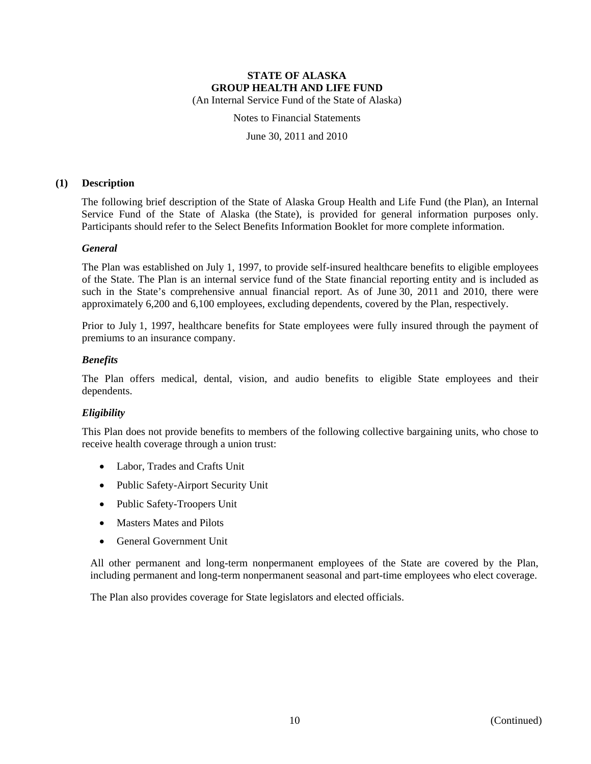Notes to Financial Statements

June 30, 2011 and 2010

#### **(1) Description**

The following brief description of the State of Alaska Group Health and Life Fund (the Plan), an Internal Service Fund of the State of Alaska (the State), is provided for general information purposes only. Participants should refer to the Select Benefits Information Booklet for more complete information.

#### *General*

The Plan was established on July 1, 1997, to provide self-insured healthcare benefits to eligible employees of the State. The Plan is an internal service fund of the State financial reporting entity and is included as such in the State's comprehensive annual financial report. As of June 30, 2011 and 2010, there were approximately 6,200 and 6,100 employees, excluding dependents, covered by the Plan, respectively.

Prior to July 1, 1997, healthcare benefits for State employees were fully insured through the payment of premiums to an insurance company.

## *Benefits*

The Plan offers medical, dental, vision, and audio benefits to eligible State employees and their dependents.

## *Eligibility*

This Plan does not provide benefits to members of the following collective bargaining units, who chose to receive health coverage through a union trust:

- Labor, Trades and Crafts Unit
- Public Safety-Airport Security Unit
- Public Safety-Troopers Unit
- Masters Mates and Pilots
- General Government Unit

All other permanent and long-term nonpermanent employees of the State are covered by the Plan, including permanent and long-term nonpermanent seasonal and part-time employees who elect coverage.

The Plan also provides coverage for State legislators and elected officials.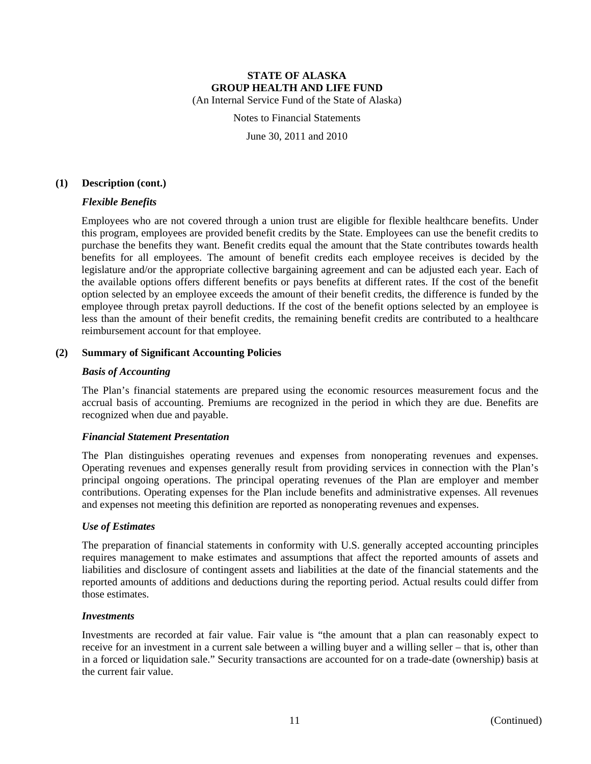Notes to Financial Statements

June 30, 2011 and 2010

#### **(1) Description (cont.)**

#### *Flexible Benefits*

Employees who are not covered through a union trust are eligible for flexible healthcare benefits. Under this program, employees are provided benefit credits by the State. Employees can use the benefit credits to purchase the benefits they want. Benefit credits equal the amount that the State contributes towards health benefits for all employees. The amount of benefit credits each employee receives is decided by the legislature and/or the appropriate collective bargaining agreement and can be adjusted each year. Each of the available options offers different benefits or pays benefits at different rates. If the cost of the benefit option selected by an employee exceeds the amount of their benefit credits, the difference is funded by the employee through pretax payroll deductions. If the cost of the benefit options selected by an employee is less than the amount of their benefit credits, the remaining benefit credits are contributed to a healthcare reimbursement account for that employee.

#### **(2) Summary of Significant Accounting Policies**

#### *Basis of Accounting*

The Plan's financial statements are prepared using the economic resources measurement focus and the accrual basis of accounting. Premiums are recognized in the period in which they are due. Benefits are recognized when due and payable.

#### *Financial Statement Presentation*

The Plan distinguishes operating revenues and expenses from nonoperating revenues and expenses. Operating revenues and expenses generally result from providing services in connection with the Plan's principal ongoing operations. The principal operating revenues of the Plan are employer and member contributions. Operating expenses for the Plan include benefits and administrative expenses. All revenues and expenses not meeting this definition are reported as nonoperating revenues and expenses.

#### *Use of Estimates*

The preparation of financial statements in conformity with U.S. generally accepted accounting principles requires management to make estimates and assumptions that affect the reported amounts of assets and liabilities and disclosure of contingent assets and liabilities at the date of the financial statements and the reported amounts of additions and deductions during the reporting period. Actual results could differ from those estimates.

#### *Investments*

Investments are recorded at fair value. Fair value is "the amount that a plan can reasonably expect to receive for an investment in a current sale between a willing buyer and a willing seller – that is, other than in a forced or liquidation sale." Security transactions are accounted for on a trade-date (ownership) basis at the current fair value.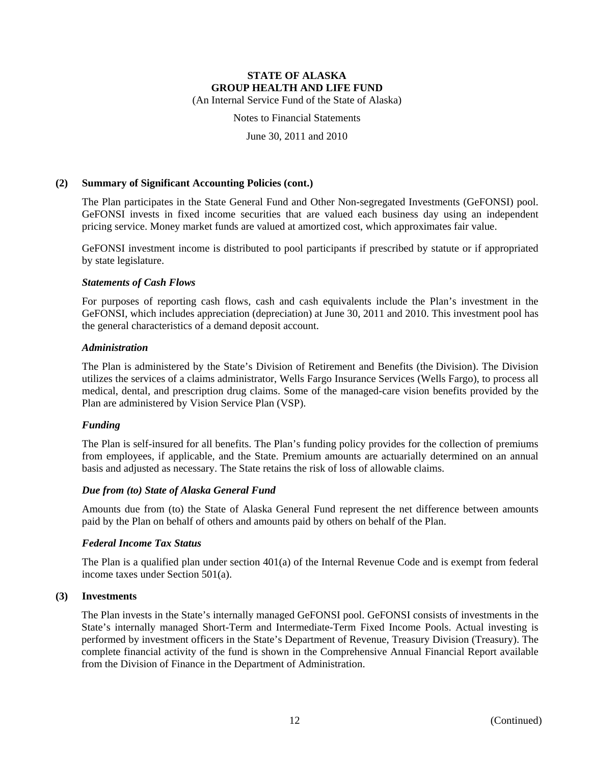Notes to Financial Statements

June 30, 2011 and 2010

#### **(2) Summary of Significant Accounting Policies (cont.)**

The Plan participates in the State General Fund and Other Non-segregated Investments (GeFONSI) pool. GeFONSI invests in fixed income securities that are valued each business day using an independent pricing service. Money market funds are valued at amortized cost, which approximates fair value.

GeFONSI investment income is distributed to pool participants if prescribed by statute or if appropriated by state legislature.

#### *Statements of Cash Flows*

For purposes of reporting cash flows, cash and cash equivalents include the Plan's investment in the GeFONSI, which includes appreciation (depreciation) at June 30, 2011 and 2010. This investment pool has the general characteristics of a demand deposit account.

#### *Administration*

The Plan is administered by the State's Division of Retirement and Benefits (the Division). The Division utilizes the services of a claims administrator, Wells Fargo Insurance Services (Wells Fargo), to process all medical, dental, and prescription drug claims. Some of the managed-care vision benefits provided by the Plan are administered by Vision Service Plan (VSP).

## *Funding*

The Plan is self-insured for all benefits. The Plan's funding policy provides for the collection of premiums from employees, if applicable, and the State. Premium amounts are actuarially determined on an annual basis and adjusted as necessary. The State retains the risk of loss of allowable claims.

## *Due from (to) State of Alaska General Fund*

Amounts due from (to) the State of Alaska General Fund represent the net difference between amounts paid by the Plan on behalf of others and amounts paid by others on behalf of the Plan.

## *Federal Income Tax Status*

The Plan is a qualified plan under section 401(a) of the Internal Revenue Code and is exempt from federal income taxes under Section 501(a).

#### **(3) Investments**

The Plan invests in the State's internally managed GeFONSI pool. GeFONSI consists of investments in the State's internally managed Short-Term and Intermediate-Term Fixed Income Pools. Actual investing is performed by investment officers in the State's Department of Revenue, Treasury Division (Treasury). The complete financial activity of the fund is shown in the Comprehensive Annual Financial Report available from the Division of Finance in the Department of Administration.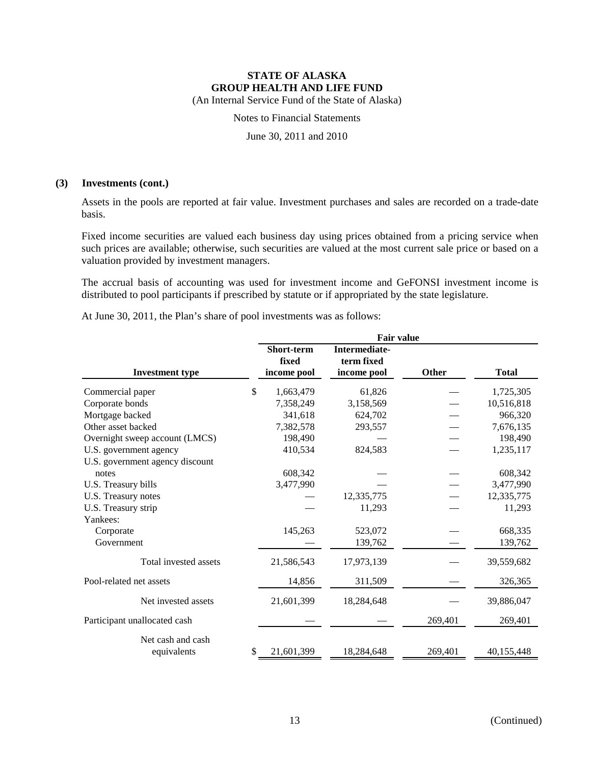Notes to Financial Statements

June 30, 2011 and 2010

#### **(3) Investments (cont.)**

Assets in the pools are reported at fair value. Investment purchases and sales are recorded on a trade-date basis.

Fixed income securities are valued each business day using prices obtained from a pricing service when such prices are available; otherwise, such securities are valued at the most current sale price or based on a valuation provided by investment managers.

The accrual basis of accounting was used for investment income and GeFONSI investment income is distributed to pool participants if prescribed by statute or if appropriated by the state legislature.

At June 30, 2011, the Plan's share of pool investments was as follows:

|                                  | <b>Fair value</b>   |                             |         |              |  |
|----------------------------------|---------------------|-----------------------------|---------|--------------|--|
|                                  | Short-term<br>fixed | Intermediate-<br>term fixed |         | <b>Total</b> |  |
| <b>Investment type</b>           | income pool         | income pool                 | Other   |              |  |
| Commercial paper                 | \$<br>1,663,479     | 61,826                      |         | 1,725,305    |  |
| Corporate bonds                  | 7,358,249           | 3,158,569                   |         | 10,516,818   |  |
| Mortgage backed                  | 341.618             | 624,702                     |         | 966,320      |  |
| Other asset backed               | 7,382,578           | 293,557                     |         | 7,676,135    |  |
| Overnight sweep account (LMCS)   | 198,490             |                             |         | 198,490      |  |
| U.S. government agency           | 410,534             | 824,583                     |         | 1,235,117    |  |
| U.S. government agency discount  |                     |                             |         |              |  |
| notes                            | 608,342             |                             |         | 608,342      |  |
| U.S. Treasury bills              | 3,477,990           |                             |         | 3,477,990    |  |
| U.S. Treasury notes              |                     | 12,335,775                  |         | 12,335,775   |  |
| U.S. Treasury strip              |                     | 11,293                      |         | 11,293       |  |
| Yankees:                         |                     |                             |         |              |  |
| Corporate                        | 145,263             | 523,072                     |         | 668,335      |  |
| Government                       |                     | 139,762                     |         | 139,762      |  |
| Total invested assets            | 21,586,543          | 17,973,139                  |         | 39,559,682   |  |
| Pool-related net assets          | 14,856              | 311,509                     |         | 326,365      |  |
| Net invested assets              | 21,601,399          | 18,284,648                  |         | 39,886,047   |  |
| Participant unallocated cash     |                     |                             | 269,401 | 269,401      |  |
| Net cash and cash<br>equivalents | \$<br>21,601,399    | 18,284,648                  | 269,401 | 40,155,448   |  |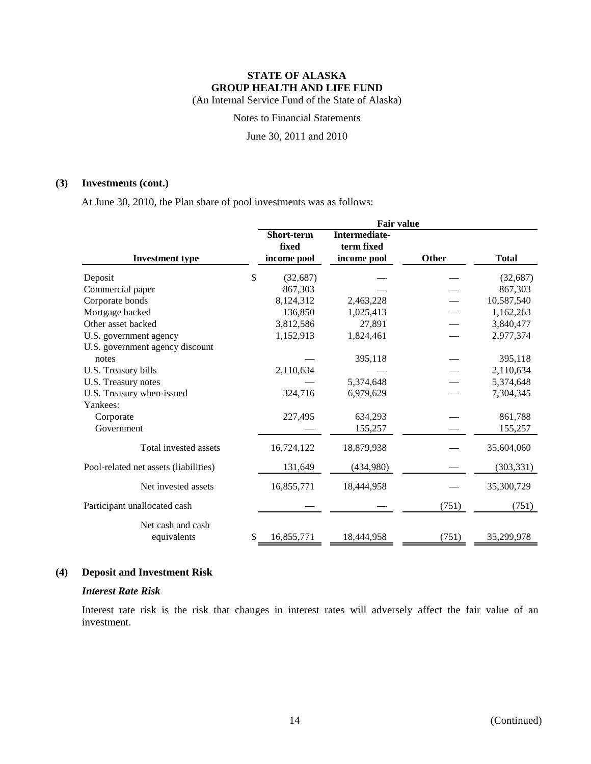Notes to Financial Statements

June 30, 2011 and 2010

#### **(3) Investments (cont.)**

At June 30, 2010, the Plan share of pool investments was as follows:

|                                       | <b>Fair value</b> |                     |                                            |       |              |
|---------------------------------------|-------------------|---------------------|--------------------------------------------|-------|--------------|
| <b>Investment type</b>                |                   | Short-term<br>fixed | Intermediate-<br>term fixed<br>income pool | Other | <b>Total</b> |
|                                       |                   | income pool         |                                            |       |              |
| Deposit                               | \$                | (32,687)            |                                            |       | (32,687)     |
| Commercial paper                      |                   | 867,303             |                                            |       | 867,303      |
| Corporate bonds                       |                   | 8,124,312           | 2,463,228                                  |       | 10,587,540   |
| Mortgage backed                       |                   | 136,850             | 1,025,413                                  |       | 1,162,263    |
| Other asset backed                    |                   | 3,812,586           | 27,891                                     |       | 3,840,477    |
| U.S. government agency                |                   | 1,152,913           | 1,824,461                                  |       | 2,977,374    |
| U.S. government agency discount       |                   |                     |                                            |       |              |
| notes                                 |                   |                     | 395,118                                    |       | 395,118      |
| U.S. Treasury bills                   |                   | 2,110,634           |                                            |       | 2,110,634    |
| U.S. Treasury notes                   |                   |                     | 5,374,648                                  |       | 5,374,648    |
| U.S. Treasury when-issued             |                   | 324,716             | 6,979,629                                  |       | 7,304,345    |
| Yankees:                              |                   |                     |                                            |       |              |
| Corporate                             |                   | 227,495             | 634,293                                    |       | 861,788      |
| Government                            |                   |                     | 155,257                                    |       | 155,257      |
| Total invested assets                 |                   | 16,724,122          | 18,879,938                                 |       | 35,604,060   |
| Pool-related net assets (liabilities) |                   | 131,649             | (434,980)                                  |       | (303, 331)   |
| Net invested assets                   |                   | 16,855,771          | 18,444,958                                 |       | 35,300,729   |
| Participant unallocated cash          |                   |                     |                                            | (751) | (751)        |
| Net cash and cash<br>equivalents      | \$                | 16,855,771          | 18,444,958                                 | (751) | 35,299,978   |

#### **(4) Deposit and Investment Risk**

#### *Interest Rate Risk*

Interest rate risk is the risk that changes in interest rates will adversely affect the fair value of an investment.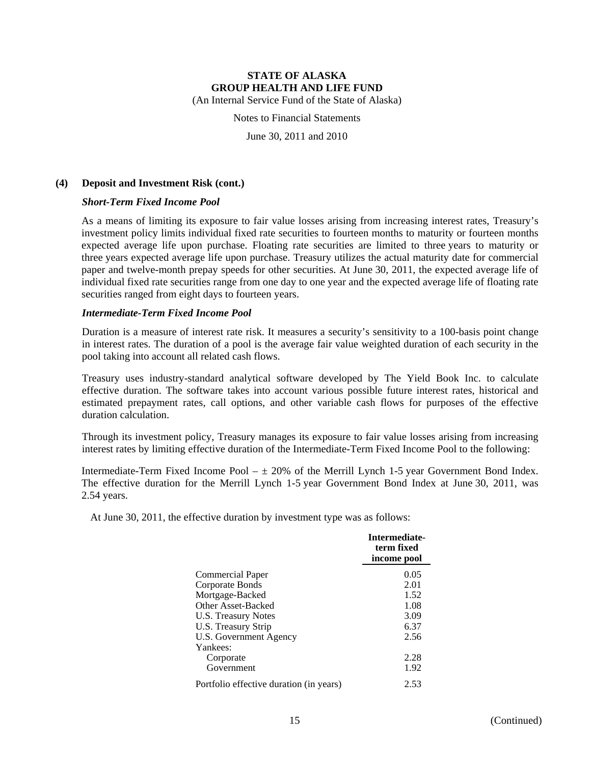Notes to Financial Statements

June 30, 2011 and 2010

#### **(4) Deposit and Investment Risk (cont.)**

#### *Short-Term Fixed Income Pool*

As a means of limiting its exposure to fair value losses arising from increasing interest rates, Treasury's investment policy limits individual fixed rate securities to fourteen months to maturity or fourteen months expected average life upon purchase. Floating rate securities are limited to three years to maturity or three years expected average life upon purchase. Treasury utilizes the actual maturity date for commercial paper and twelve-month prepay speeds for other securities. At June 30, 2011, the expected average life of individual fixed rate securities range from one day to one year and the expected average life of floating rate securities ranged from eight days to fourteen years.

#### *Intermediate-Term Fixed Income Pool*

Duration is a measure of interest rate risk. It measures a security's sensitivity to a 100-basis point change in interest rates. The duration of a pool is the average fair value weighted duration of each security in the pool taking into account all related cash flows.

Treasury uses industry-standard analytical software developed by The Yield Book Inc. to calculate effective duration. The software takes into account various possible future interest rates, historical and estimated prepayment rates, call options, and other variable cash flows for purposes of the effective duration calculation.

Through its investment policy, Treasury manages its exposure to fair value losses arising from increasing interest rates by limiting effective duration of the Intermediate-Term Fixed Income Pool to the following:

Intermediate-Term Fixed Income Pool  $- \pm 20\%$  of the Merrill Lynch 1-5 year Government Bond Index. The effective duration for the Merrill Lynch 1-5 year Government Bond Index at June 30, 2011, was 2.54 years.

At June 30, 2011, the effective duration by investment type was as follows:

|                                         | Intermediate-<br>term fixed<br>income pool |
|-----------------------------------------|--------------------------------------------|
| <b>Commercial Paper</b>                 | 0.05                                       |
| Corporate Bonds                         | 2.01                                       |
| Mortgage-Backed                         | 1.52                                       |
| Other Asset-Backed                      | 1.08                                       |
| U.S. Treasury Notes                     | 3.09                                       |
| U.S. Treasury Strip                     | 6.37                                       |
| <b>U.S. Government Agency</b>           | 2.56                                       |
| Yankees:                                |                                            |
| Corporate                               | 2.28                                       |
| Government                              | 1.92                                       |
| Portfolio effective duration (in years) | 2.53                                       |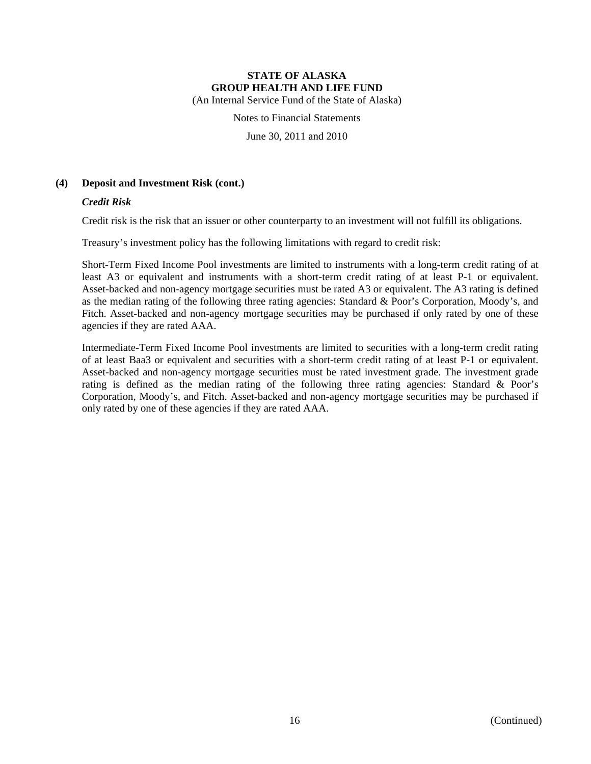Notes to Financial Statements

June 30, 2011 and 2010

#### **(4) Deposit and Investment Risk (cont.)**

## *Credit Risk*

Credit risk is the risk that an issuer or other counterparty to an investment will not fulfill its obligations.

Treasury's investment policy has the following limitations with regard to credit risk:

Short-Term Fixed Income Pool investments are limited to instruments with a long-term credit rating of at least A3 or equivalent and instruments with a short-term credit rating of at least P-1 or equivalent. Asset-backed and non-agency mortgage securities must be rated A3 or equivalent. The A3 rating is defined as the median rating of the following three rating agencies: Standard & Poor's Corporation, Moody's, and Fitch. Asset-backed and non-agency mortgage securities may be purchased if only rated by one of these agencies if they are rated AAA.

Intermediate-Term Fixed Income Pool investments are limited to securities with a long-term credit rating of at least Baa3 or equivalent and securities with a short-term credit rating of at least P-1 or equivalent. Asset-backed and non-agency mortgage securities must be rated investment grade. The investment grade rating is defined as the median rating of the following three rating agencies: Standard & Poor's Corporation, Moody's, and Fitch. Asset-backed and non-agency mortgage securities may be purchased if only rated by one of these agencies if they are rated AAA.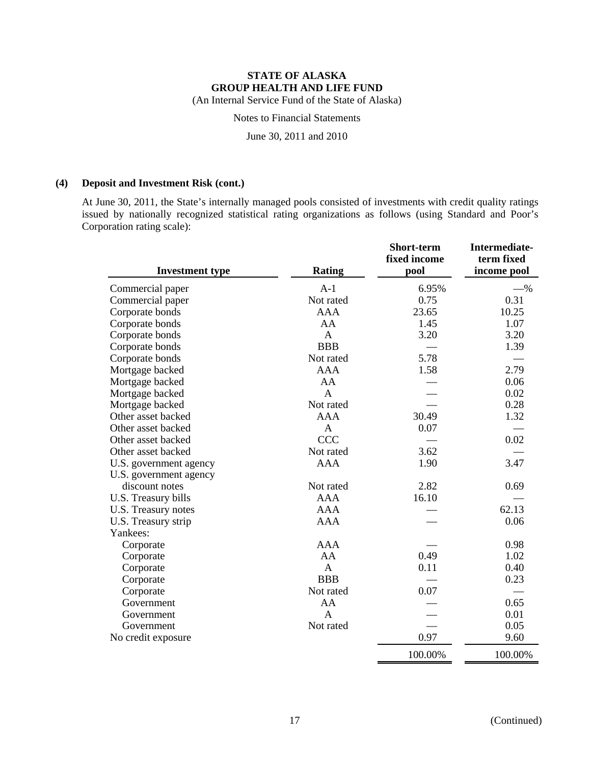Notes to Financial Statements

June 30, 2011 and 2010

#### **(4) Deposit and Investment Risk (cont.)**

At June 30, 2011, the State's internally managed pools consisted of investments with credit quality ratings issued by nationally recognized statistical rating organizations as follows (using Standard and Poor's Corporation rating scale):

| <b>Investment type</b> | Rating       | Short-term<br>fixed income<br>pool | Intermediate-<br>term fixed<br>income pool |
|------------------------|--------------|------------------------------------|--------------------------------------------|
| Commercial paper       | $A-1$        | 6.95%                              | $-$ %                                      |
| Commercial paper       | Not rated    | 0.75                               | 0.31                                       |
| Corporate bonds        | AAA          | 23.65                              | 10.25                                      |
| Corporate bonds        | AA           | 1.45                               | 1.07                                       |
| Corporate bonds        | $\mathbf{A}$ | 3.20                               | 3.20                                       |
| Corporate bonds        | <b>BBB</b>   |                                    | 1.39                                       |
| Corporate bonds        | Not rated    | 5.78                               |                                            |
| Mortgage backed        | <b>AAA</b>   | 1.58                               | 2.79                                       |
| Mortgage backed        | AA           |                                    | 0.06                                       |
| Mortgage backed        | A            |                                    | 0.02                                       |
| Mortgage backed        | Not rated    |                                    | 0.28                                       |
| Other asset backed     | <b>AAA</b>   | 30.49                              | 1.32                                       |
| Other asset backed     | A            | 0.07                               |                                            |
| Other asset backed     | <b>CCC</b>   |                                    | 0.02                                       |
| Other asset backed     | Not rated    | 3.62                               |                                            |
| U.S. government agency | <b>AAA</b>   | 1.90                               | 3.47                                       |
| U.S. government agency |              |                                    |                                            |
| discount notes         | Not rated    | 2.82                               | 0.69                                       |
| U.S. Treasury bills    | <b>AAA</b>   | 16.10                              |                                            |
| U.S. Treasury notes    | <b>AAA</b>   |                                    | 62.13                                      |
| U.S. Treasury strip    | <b>AAA</b>   |                                    | 0.06                                       |
| Yankees:               |              |                                    |                                            |
| Corporate              | <b>AAA</b>   |                                    | 0.98                                       |
| Corporate              | AA           | 0.49                               | 1.02                                       |
| Corporate              | $\mathbf{A}$ | 0.11                               | 0.40                                       |
| Corporate              | <b>BBB</b>   |                                    | 0.23                                       |
| Corporate              | Not rated    | 0.07                               |                                            |
| Government             | AA           |                                    | 0.65                                       |
| Government             | $\mathbf{A}$ |                                    | 0.01                                       |
| Government             | Not rated    |                                    | 0.05                                       |
| No credit exposure     |              | 0.97                               | 9.60                                       |
|                        |              | 100.00%                            | 100.00%                                    |